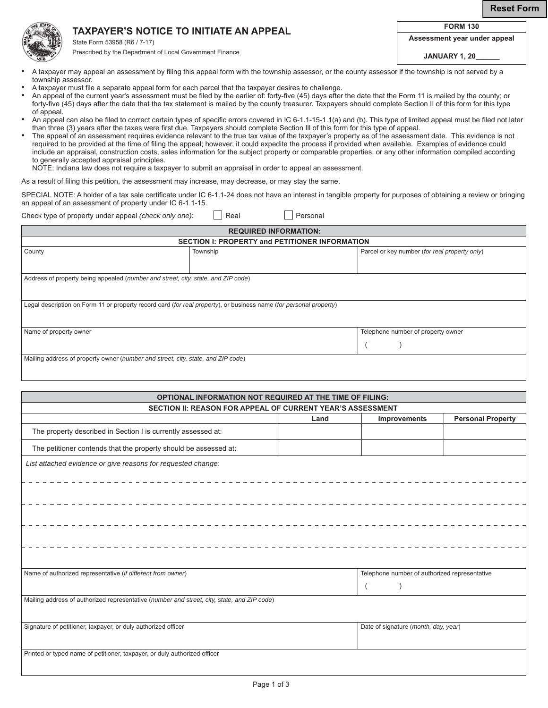**Reset Form**

## **TAXPAYER'S NOTICE TO INITIATE AN APPEAL**

**FORM 130**



State Form 53958 (R6 / 7-17)

**Assessment year under appeal**

Prescribed by the Department of Local Government Finance

**JANUARY 1, 20\_\_\_\_\_\_**

- A taxpayer may appeal an assessment by filing this appeal form with the township assessor, or the county assessor if the township is not served by a township assessor.
- A taxpayer must file a separate appeal form for each parcel that the taxpayer desires to challenge.
- An appeal of the current year's assessment must be filed by the earlier of: forty-five (45) days after the date that the Form 11 is mailed by the county; or forty-five (45) days after the date that the tax statement is mailed by the county treasurer. Taxpayers should complete Section II of this form for this type of appeal.
- An appeal can also be filed to correct certain types of specific errors covered in IC 6-1.1-15-1.1(a) and (b). This type of limited appeal must be filed not later than three (3) years after the taxes were first due. Taxpayers should complete Section Ill of this form for this type of appeal.
- The appeal of an assessment requires evidence relevant to the true tax value of the taxpayer's property as of the assessment date. This evidence is not required to be provided at the time of filing the appeal; however, it could expedite the process if provided when available. Examples of evidence could include an appraisal, construction costs, sales information for the subject property or comparable properties, or any other information compiled according to generally accepted appraisal principles.

NOTE: Indiana law does not require a taxpayer to submit an appraisal in order to appeal an assessment.

As a result of filing this petition, the assessment may increase, may decrease, or may stay the same.

SPECIAL NOTE: A holder of a tax sale certificate under IC 6-1.1-24 does not have an interest in tangible property for purposes of obtaining a review or bringing an appeal of an assessment of property under IC 6-1.1-15.

Check type of property under appeal *(check only one)*: Real **Personal** Personal

| <b>REQUIRED INFORMATION:</b>                                                                                       |          |                                               |  |  |  |  |
|--------------------------------------------------------------------------------------------------------------------|----------|-----------------------------------------------|--|--|--|--|
| <b>SECTION I: PROPERTY and PETITIONER INFORMATION</b>                                                              |          |                                               |  |  |  |  |
| County                                                                                                             | Township | Parcel or key number (for real property only) |  |  |  |  |
|                                                                                                                    |          |                                               |  |  |  |  |
| Address of property being appealed (number and street, city, state, and ZIP code)                                  |          |                                               |  |  |  |  |
|                                                                                                                    |          |                                               |  |  |  |  |
| Legal description on Form 11 or property record card (for real property), or business name (for personal property) |          |                                               |  |  |  |  |
|                                                                                                                    |          |                                               |  |  |  |  |
| Telephone number of property owner<br>Name of property owner                                                       |          |                                               |  |  |  |  |
|                                                                                                                    |          |                                               |  |  |  |  |
|                                                                                                                    |          |                                               |  |  |  |  |
| Mailing address of property owner (number and street, city, state, and ZIP code)                                   |          |                                               |  |  |  |  |
|                                                                                                                    |          |                                               |  |  |  |  |

| <b>OPTIONAL INFORMATION NOT REQUIRED AT THE TIME OF FILING:</b>                             |      |                                               |                          |  |  |  |
|---------------------------------------------------------------------------------------------|------|-----------------------------------------------|--------------------------|--|--|--|
| SECTION II: REASON FOR APPEAL OF CURRENT YEAR'S ASSESSMENT                                  |      |                                               |                          |  |  |  |
|                                                                                             | Land | Improvements                                  | <b>Personal Property</b> |  |  |  |
| The property described in Section I is currently assessed at:                               |      |                                               |                          |  |  |  |
| The petitioner contends that the property should be assessed at:                            |      |                                               |                          |  |  |  |
| List attached evidence or give reasons for requested change:                                |      |                                               |                          |  |  |  |
|                                                                                             |      |                                               |                          |  |  |  |
|                                                                                             |      |                                               |                          |  |  |  |
|                                                                                             |      |                                               |                          |  |  |  |
|                                                                                             |      |                                               |                          |  |  |  |
|                                                                                             |      |                                               |                          |  |  |  |
|                                                                                             |      |                                               |                          |  |  |  |
|                                                                                             |      |                                               |                          |  |  |  |
|                                                                                             |      |                                               |                          |  |  |  |
| Name of authorized representative (if different from owner)                                 |      | Telephone number of authorized representative |                          |  |  |  |
|                                                                                             |      |                                               |                          |  |  |  |
| Mailing address of authorized representative (number and street, city, state, and ZIP code) |      |                                               |                          |  |  |  |
|                                                                                             |      |                                               |                          |  |  |  |
| Signature of petitioner, taxpayer, or duly authorized officer                               |      | Date of signature (month, day, year)          |                          |  |  |  |
|                                                                                             |      |                                               |                          |  |  |  |
| Printed or typed name of petitioner, taxpayer, or duly authorized officer                   |      |                                               |                          |  |  |  |
|                                                                                             |      |                                               |                          |  |  |  |
|                                                                                             |      |                                               |                          |  |  |  |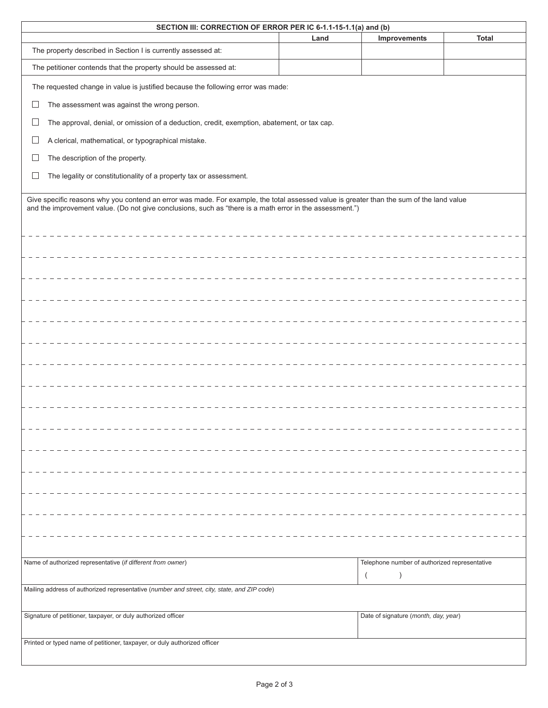| SECTION III: CORRECTION OF ERROR PER IC 6-1.1-15-1.1(a) and (b)                                                                                                                                                                                      |                                                                                             |      |                                                            |              |  |
|------------------------------------------------------------------------------------------------------------------------------------------------------------------------------------------------------------------------------------------------------|---------------------------------------------------------------------------------------------|------|------------------------------------------------------------|--------------|--|
|                                                                                                                                                                                                                                                      |                                                                                             | Land | Improvements                                               | <b>Total</b> |  |
| The property described in Section I is currently assessed at:                                                                                                                                                                                        |                                                                                             |      |                                                            |              |  |
|                                                                                                                                                                                                                                                      | The petitioner contends that the property should be assessed at:                            |      |                                                            |              |  |
|                                                                                                                                                                                                                                                      | The requested change in value is justified because the following error was made:            |      |                                                            |              |  |
| $\Box$                                                                                                                                                                                                                                               | The assessment was against the wrong person.                                                |      |                                                            |              |  |
| ப                                                                                                                                                                                                                                                    | The approval, denial, or omission of a deduction, credit, exemption, abatement, or tax cap. |      |                                                            |              |  |
| $\Box$                                                                                                                                                                                                                                               | A clerical, mathematical, or typographical mistake.                                         |      |                                                            |              |  |
| $\Box$                                                                                                                                                                                                                                               | The description of the property.                                                            |      |                                                            |              |  |
| $\Box$                                                                                                                                                                                                                                               | The legality or constitutionality of a property tax or assessment.                          |      |                                                            |              |  |
| Give specific reasons why you contend an error was made. For example, the total assessed value is greater than the sum of the land value<br>and the improvement value. (Do not give conclusions, such as "there is a math error in the assessment.") |                                                                                             |      |                                                            |              |  |
|                                                                                                                                                                                                                                                      |                                                                                             |      |                                                            |              |  |
|                                                                                                                                                                                                                                                      |                                                                                             |      |                                                            |              |  |
|                                                                                                                                                                                                                                                      |                                                                                             |      |                                                            |              |  |
|                                                                                                                                                                                                                                                      |                                                                                             |      |                                                            |              |  |
|                                                                                                                                                                                                                                                      |                                                                                             |      |                                                            |              |  |
|                                                                                                                                                                                                                                                      |                                                                                             |      |                                                            |              |  |
|                                                                                                                                                                                                                                                      |                                                                                             |      |                                                            |              |  |
|                                                                                                                                                                                                                                                      |                                                                                             |      |                                                            |              |  |
|                                                                                                                                                                                                                                                      |                                                                                             |      |                                                            |              |  |
|                                                                                                                                                                                                                                                      |                                                                                             |      |                                                            |              |  |
|                                                                                                                                                                                                                                                      |                                                                                             |      |                                                            |              |  |
|                                                                                                                                                                                                                                                      |                                                                                             |      |                                                            |              |  |
|                                                                                                                                                                                                                                                      |                                                                                             |      |                                                            |              |  |
|                                                                                                                                                                                                                                                      |                                                                                             |      |                                                            |              |  |
|                                                                                                                                                                                                                                                      |                                                                                             |      |                                                            |              |  |
|                                                                                                                                                                                                                                                      |                                                                                             |      |                                                            |              |  |
|                                                                                                                                                                                                                                                      |                                                                                             |      |                                                            |              |  |
|                                                                                                                                                                                                                                                      |                                                                                             |      |                                                            |              |  |
|                                                                                                                                                                                                                                                      | Name of authorized representative (if different from owner)                                 |      | Telephone number of authorized representative<br>$\lambda$ |              |  |
| Mailing address of authorized representative (number and street, city, state, and ZIP code)                                                                                                                                                          |                                                                                             |      |                                                            |              |  |
|                                                                                                                                                                                                                                                      |                                                                                             |      |                                                            |              |  |
| Signature of petitioner, taxpayer, or duly authorized officer<br>Date of signature (month, day, year)                                                                                                                                                |                                                                                             |      |                                                            |              |  |
|                                                                                                                                                                                                                                                      | Printed or typed name of petitioner, taxpayer, or duly authorized officer                   |      |                                                            |              |  |